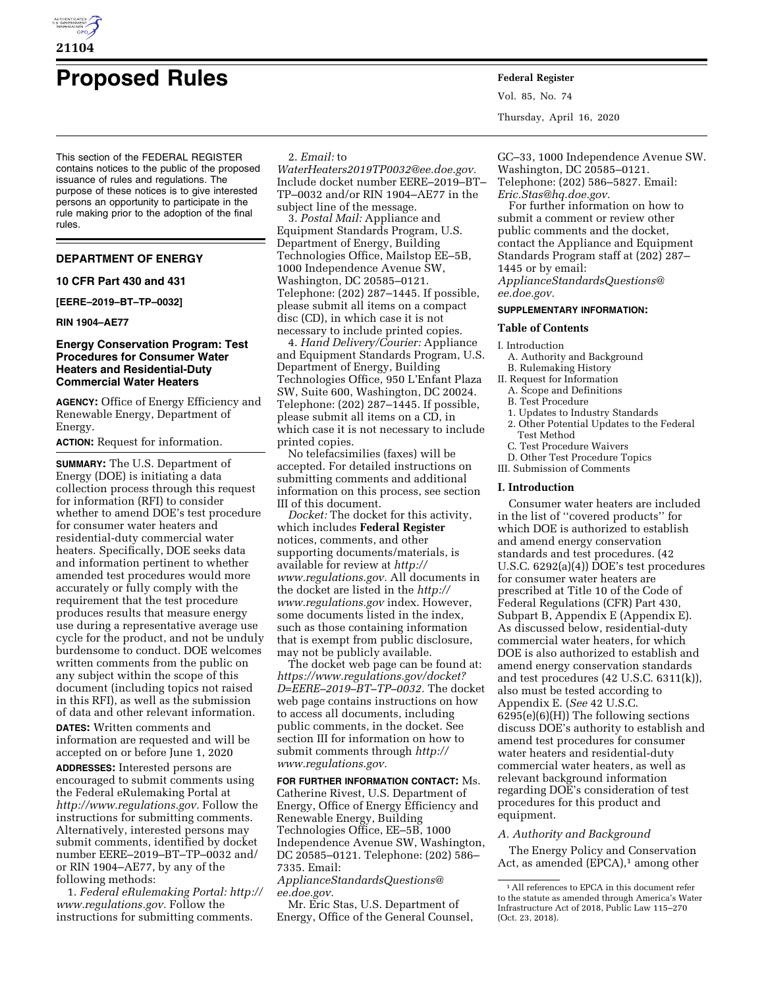

# **Proposed Rules Federal Register**

This section of the FEDERAL REGISTER contains notices to the public of the proposed issuance of rules and regulations. The purpose of these notices is to give interested persons an opportunity to participate in the rule making prior to the adoption of the final rules.

## **DEPARTMENT OF ENERGY**

#### **10 CFR Part 430 and 431**

**[EERE–2019–BT–TP–0032]** 

#### **RIN 1904–AE77**

#### **Energy Conservation Program: Test Procedures for Consumer Water Heaters and Residential-Duty Commercial Water Heaters**

**AGENCY:** Office of Energy Efficiency and Renewable Energy, Department of Energy.

**ACTION:** Request for information.

**SUMMARY:** The U.S. Department of Energy (DOE) is initiating a data collection process through this request for information (RFI) to consider whether to amend DOE's test procedure for consumer water heaters and residential-duty commercial water heaters. Specifically, DOE seeks data and information pertinent to whether amended test procedures would more accurately or fully comply with the requirement that the test procedure produces results that measure energy use during a representative average use cycle for the product, and not be unduly burdensome to conduct. DOE welcomes written comments from the public on any subject within the scope of this document (including topics not raised in this RFI), as well as the submission of data and other relevant information.

**DATES:** Written comments and information are requested and will be accepted on or before June 1, 2020

**ADDRESSES:** Interested persons are encouraged to submit comments using the Federal eRulemaking Portal at *[http://www.regulations.gov.](http://www.regulations.gov)* Follow the instructions for submitting comments. Alternatively, interested persons may submit comments, identified by docket number EERE–2019–BT–TP–0032 and/ or RIN 1904–AE77, by any of the following methods:

1. *Federal eRulemaking Portal: [http://](http://www.regulations.gov)  [www.regulations.gov.](http://www.regulations.gov)* Follow the instructions for submitting comments.

#### 2. *Email:* to

*[WaterHeaters2019TP0032@ee.doe.gov.](mailto:WaterHeaters2019TP0032@ee.doe.gov)*  Include docket number EERE–2019–BT– TP–0032 and/or RIN 1904–AE77 in the subject line of the message.

3. *Postal Mail:* Appliance and Equipment Standards Program, U.S. Department of Energy, Building Technologies Office, Mailstop EE–5B, 1000 Independence Avenue SW, Washington, DC 20585–0121. Telephone: (202) 287–1445. If possible, please submit all items on a compact disc (CD), in which case it is not necessary to include printed copies.

4. *Hand Delivery/Courier:* Appliance and Equipment Standards Program, U.S. Department of Energy, Building Technologies Office, 950 L'Enfant Plaza SW, Suite 600, Washington, DC 20024. Telephone: (202) 287–1445. If possible, please submit all items on a CD, in which case it is not necessary to include printed copies.

No telefacsimilies (faxes) will be accepted. For detailed instructions on submitting comments and additional information on this process, see section III of this document.

*Docket:* The docket for this activity, which includes **Federal Register**  notices, comments, and other supporting documents/materials, is available for review at *[http://](http://www.regulations.gov) [www.regulations.gov.](http://www.regulations.gov)* All documents in the docket are listed in the *[http://](http://www.regulations.gov) [www.regulations.gov](http://www.regulations.gov)* index. However, some documents listed in the index, such as those containing information that is exempt from public disclosure, may not be publicly available.

The docket web page can be found at: *[https://www.regulations.gov/docket?](https://www.regulations.gov/docket?D=EERE-2019-BT-TP-0032) [D=EERE–2019–BT–TP–0032.](https://www.regulations.gov/docket?D=EERE-2019-BT-TP-0032)* The docket web page contains instructions on how to access all documents, including public comments, in the docket. See section III for information on how to submit comments through *[http://](http://www.regulations.gov) [www.regulations.gov.](http://www.regulations.gov)* 

**FOR FURTHER INFORMATION CONTACT:** Ms. Catherine Rivest, U.S. Department of Energy, Office of Energy Efficiency and Renewable Energy, Building Technologies Office, EE–5B, 1000 Independence Avenue SW, Washington, DC 20585–0121. Telephone: (202) 586– 7335. Email:

*[ApplianceStandardsQuestions@](mailto:ApplianceStandardsQuestions@ee.doe.gov) [ee.doe.gov.](mailto:ApplianceStandardsQuestions@ee.doe.gov)* 

Mr. Eric Stas, U.S. Department of Energy, Office of the General Counsel, Vol. 85, No. 74 Thursday, April 16, 2020

GC–33, 1000 Independence Avenue SW. Washington, DC 20585–0121. Telephone: (202) 586–5827. Email: *[Eric.Stas@hq.doe.gov.](mailto:Eric.Stas@hq.doe.gov)* 

For further information on how to submit a comment or review other public comments and the docket, contact the Appliance and Equipment Standards Program staff at (202) 287– 1445 or by email:

*[ApplianceStandardsQuestions@](mailto:ApplianceStandardsQuestions@ee.doe.gov) [ee.doe.gov.](mailto:ApplianceStandardsQuestions@ee.doe.gov)* 

#### **SUPPLEMENTARY INFORMATION:**

#### **Table of Contents**

I. Introduction

A. Authority and Background B. Rulemaking History

- II. Request for Information
	- A. Scope and Definitions
	- B. Test Procedure
- 1. Updates to Industry Standards
- 2. Other Potential Updates to the Federal Test Method
- C. Test Procedure Waivers

D. Other Test Procedure Topics

III. Submission of Comments

## **I. Introduction**

Consumer water heaters are included in the list of ''covered products'' for which DOE is authorized to establish and amend energy conservation standards and test procedures. (42 U.S.C. 6292(a)(4)) DOE's test procedures for consumer water heaters are prescribed at Title 10 of the Code of Federal Regulations (CFR) Part 430, Subpart B, Appendix E (Appendix E). As discussed below, residential-duty commercial water heaters, for which DOE is also authorized to establish and amend energy conservation standards and test procedures (42 U.S.C. 6311(k)), also must be tested according to Appendix E. (*See* 42 U.S.C. 6295(e)(6)(H)) The following sections discuss DOE's authority to establish and amend test procedures for consumer water heaters and residential-duty commercial water heaters, as well as relevant background information regarding DOE's consideration of test procedures for this product and equipment.

#### *A. Authority and Background*

The Energy Policy and Conservation Act, as amended  $(EPCA)$ ,<sup>1</sup> among other

<sup>1</sup>All references to EPCA in this document refer to the statute as amended through America's Water Infrastructure Act of 2018, Public Law 115–270 (Oct. 23, 2018).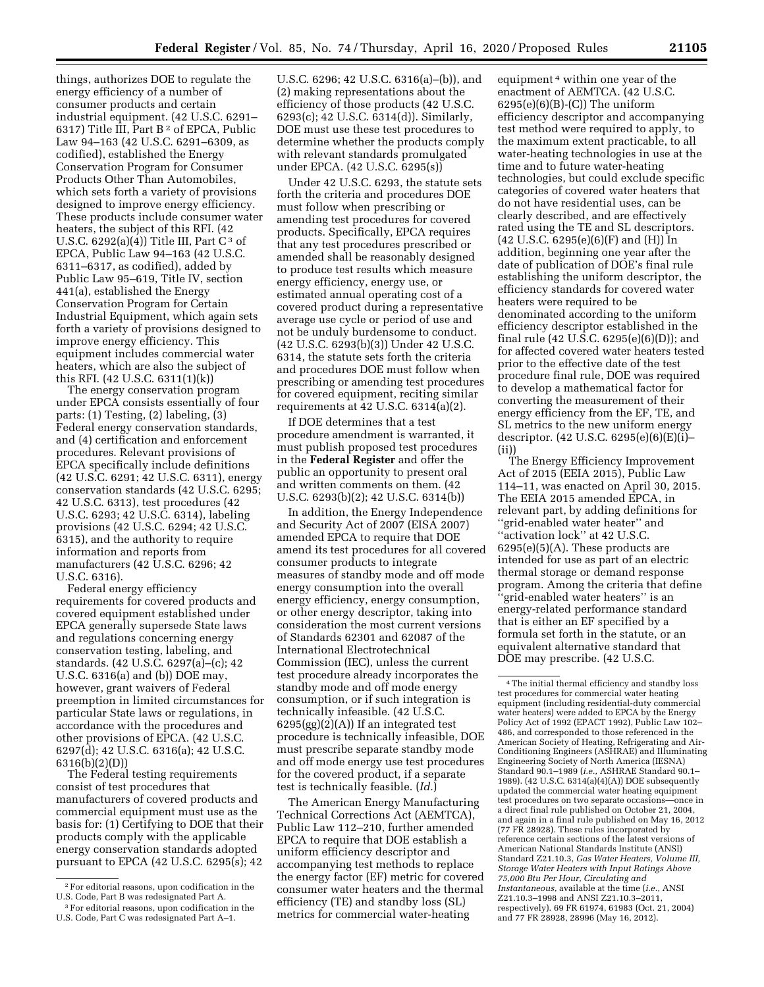things, authorizes DOE to regulate the energy efficiency of a number of consumer products and certain industrial equipment. (42 U.S.C. 6291– 6317) Title III, Part B<sup>2</sup> of EPCA, Public Law 94–163 (42 U.S.C. 6291–6309, as codified), established the Energy Conservation Program for Consumer Products Other Than Automobiles, which sets forth a variety of provisions designed to improve energy efficiency. These products include consumer water heaters, the subject of this RFI. (42 U.S.C.  $6292(a)(4)$  Title III, Part C<sup>3</sup> of EPCA, Public Law 94–163 (42 U.S.C. 6311–6317, as codified), added by Public Law 95–619, Title IV, section 441(a), established the Energy Conservation Program for Certain Industrial Equipment, which again sets

forth a variety of provisions designed to improve energy efficiency. This equipment includes commercial water heaters, which are also the subject of this RFI. (42 U.S.C. 6311(1)(k))

The energy conservation program under EPCA consists essentially of four parts: (1) Testing, (2) labeling, (3) Federal energy conservation standards, and (4) certification and enforcement procedures. Relevant provisions of EPCA specifically include definitions (42 U.S.C. 6291; 42 U.S.C. 6311), energy conservation standards (42 U.S.C. 6295; 42 U.S.C. 6313), test procedures (42 U.S.C. 6293; 42 U.S.C. 6314), labeling provisions (42 U.S.C. 6294; 42 U.S.C. 6315), and the authority to require information and reports from manufacturers (42 U.S.C. 6296; 42 U.S.C. 6316).

Federal energy efficiency requirements for covered products and covered equipment established under EPCA generally supersede State laws and regulations concerning energy conservation testing, labeling, and standards. (42 U.S.C. 6297(a)–(c); 42 U.S.C. 6316(a) and (b)) DOE may, however, grant waivers of Federal preemption in limited circumstances for particular State laws or regulations, in accordance with the procedures and other provisions of EPCA. (42 U.S.C. 6297(d); 42 U.S.C. 6316(a); 42 U.S.C. 6316(b)(2)(D))

The Federal testing requirements consist of test procedures that manufacturers of covered products and commercial equipment must use as the basis for: (1) Certifying to DOE that their products comply with the applicable energy conservation standards adopted pursuant to EPCA (42 U.S.C. 6295(s); 42

U.S.C. 6296; 42 U.S.C. 6316(a)–(b)), and (2) making representations about the efficiency of those products (42 U.S.C. 6293(c); 42 U.S.C. 6314(d)). Similarly, DOE must use these test procedures to determine whether the products comply with relevant standards promulgated under EPCA. (42 U.S.C. 6295(s))

Under 42 U.S.C. 6293, the statute sets forth the criteria and procedures DOE must follow when prescribing or amending test procedures for covered products. Specifically, EPCA requires that any test procedures prescribed or amended shall be reasonably designed to produce test results which measure energy efficiency, energy use, or estimated annual operating cost of a covered product during a representative average use cycle or period of use and not be unduly burdensome to conduct. (42 U.S.C. 6293(b)(3)) Under 42 U.S.C. 6314, the statute sets forth the criteria and procedures DOE must follow when prescribing or amending test procedures for covered equipment, reciting similar requirements at 42 U.S.C. 6314(a)(2).

If DOE determines that a test procedure amendment is warranted, it must publish proposed test procedures in the **Federal Register** and offer the public an opportunity to present oral and written comments on them. (42 U.S.C. 6293(b)(2); 42 U.S.C. 6314(b))

In addition, the Energy Independence and Security Act of 2007 (EISA 2007) amended EPCA to require that DOE amend its test procedures for all covered consumer products to integrate measures of standby mode and off mode energy consumption into the overall energy efficiency, energy consumption, or other energy descriptor, taking into consideration the most current versions of Standards 62301 and 62087 of the International Electrotechnical Commission (IEC), unless the current test procedure already incorporates the standby mode and off mode energy consumption, or if such integration is technically infeasible. (42 U.S.C.  $6295(gg)(2)(A)$ ) If an integrated test procedure is technically infeasible, DOE must prescribe separate standby mode and off mode energy use test procedures for the covered product, if a separate test is technically feasible. (*Id.*)

The American Energy Manufacturing Technical Corrections Act (AEMTCA), Public Law 112–210, further amended EPCA to require that DOE establish a uniform efficiency descriptor and accompanying test methods to replace the energy factor (EF) metric for covered consumer water heaters and the thermal efficiency (TE) and standby loss (SL) metrics for commercial water-heating

equipment 4 within one year of the enactment of AEMTCA. (42 U.S.C.  $6295(e)(6)(B)-(C)$  The uniform efficiency descriptor and accompanying test method were required to apply, to the maximum extent practicable, to all water-heating technologies in use at the time and to future water-heating technologies, but could exclude specific categories of covered water heaters that do not have residential uses, can be clearly described, and are effectively rated using the TE and SL descriptors.  $(42 \text{ U.S.C. } 6295(e)(6)(F)$  and  $(H))$  In addition, beginning one year after the date of publication of DOE's final rule establishing the uniform descriptor, the efficiency standards for covered water heaters were required to be denominated according to the uniform efficiency descriptor established in the final rule (42 U.S.C. 6295(e)(6)(D)); and for affected covered water heaters tested prior to the effective date of the test procedure final rule, DOE was required to develop a mathematical factor for converting the measurement of their energy efficiency from the EF, TE, and SL metrics to the new uniform energy descriptor. (42 U.S.C. 6295(e)(6)(E)(i)– (ii))

The Energy Efficiency Improvement Act of 2015 (EEIA 2015), Public Law 114–11, was enacted on April 30, 2015. The EEIA 2015 amended EPCA, in relevant part, by adding definitions for ''grid-enabled water heater'' and ''activation lock'' at 42 U.S.C.  $6295(e)(5)(A)$ . These products are intended for use as part of an electric thermal storage or demand response program. Among the criteria that define 'grid-enabled water heaters'' is an energy-related performance standard that is either an EF specified by a formula set forth in the statute, or an equivalent alternative standard that DOE may prescribe. (42 U.S.C.

<sup>2</sup>For editorial reasons, upon codification in the U.S. Code, Part B was redesignated Part A.

<sup>3</sup>For editorial reasons, upon codification in the U.S. Code, Part C was redesignated Part A–1.

<sup>4</sup>The initial thermal efficiency and standby loss test procedures for commercial water heating equipment (including residential-duty commercial water heaters) were added to EPCA by the Energy Policy Act of 1992 (EPACT 1992), Public Law 102– 486, and corresponded to those referenced in the American Society of Heating, Refrigerating and Air-Conditioning Engineers (ASHRAE) and Illuminating Engineering Society of North America (IESNA) Standard 90.1–1989 (*i.e.,* ASHRAE Standard 90.1– 1989). (42 U.S.C. 6314(a)(4)(A)) DOE subsequently updated the commercial water heating equipment test procedures on two separate occasions—once in a direct final rule published on October 21, 2004, and again in a final rule published on May 16, 2012 (77 FR 28928). These rules incorporated by reference certain sections of the latest versions of American National Standards Institute (ANSI) Standard Z21.10.3, *Gas Water Heaters, Volume III, Storage Water Heaters with Input Ratings Above 75,000 Btu Per Hour, Circulating and Instantaneous,* available at the time (*i.e.,* ANSI Z21.10.3–1998 and ANSI Z21.10.3–2011, respectively). 69 FR 61974, 61983 (Oct. 21, 2004) and 77 FR 28928, 28996 (May 16, 2012).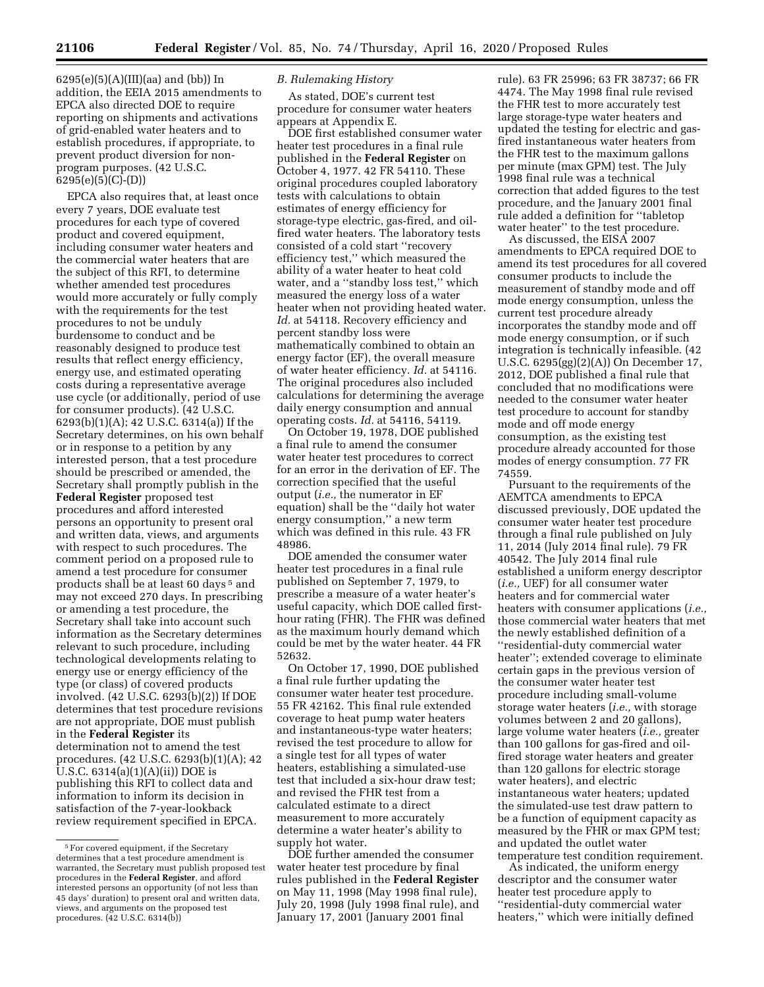$6295(e)(5)(A)(III)(aa)$  and (bb)) In addition, the EEIA 2015 amendments to EPCA also directed DOE to require reporting on shipments and activations of grid-enabled water heaters and to establish procedures, if appropriate, to prevent product diversion for nonprogram purposes. (42 U.S.C. 6295(e)(5)(C)-(D))

EPCA also requires that, at least once every 7 years, DOE evaluate test procedures for each type of covered product and covered equipment, including consumer water heaters and the commercial water heaters that are the subject of this RFI, to determine whether amended test procedures would more accurately or fully comply with the requirements for the test procedures to not be unduly burdensome to conduct and be reasonably designed to produce test results that reflect energy efficiency, energy use, and estimated operating costs during a representative average use cycle (or additionally, period of use for consumer products). (42 U.S.C. 6293(b)(1)(A); 42 U.S.C. 6314(a)) If the Secretary determines, on his own behalf or in response to a petition by any interested person, that a test procedure should be prescribed or amended, the Secretary shall promptly publish in the **Federal Register** proposed test procedures and afford interested persons an opportunity to present oral and written data, views, and arguments with respect to such procedures. The comment period on a proposed rule to amend a test procedure for consumer products shall be at least 60 days 5 and may not exceed 270 days. In prescribing or amending a test procedure, the Secretary shall take into account such information as the Secretary determines relevant to such procedure, including technological developments relating to energy use or energy efficiency of the type (or class) of covered products involved. (42 U.S.C. 6293(b)(2)) If DOE determines that test procedure revisions are not appropriate, DOE must publish in the **Federal Register** its determination not to amend the test procedures. (42 U.S.C. 6293(b)(1)(A); 42 U.S.C. 6314(a)(1)(A)(ii)) DOE is publishing this RFI to collect data and information to inform its decision in satisfaction of the 7-year-lookback review requirement specified in EPCA.

## *B. Rulemaking History*

As stated, DOE's current test procedure for consumer water heaters appears at Appendix E.

DOE first established consumer water heater test procedures in a final rule published in the **Federal Register** on October 4, 1977. 42 FR 54110. These original procedures coupled laboratory tests with calculations to obtain estimates of energy efficiency for storage-type electric, gas-fired, and oilfired water heaters. The laboratory tests consisted of a cold start ''recovery efficiency test,'' which measured the ability of a water heater to heat cold water, and a ''standby loss test,'' which measured the energy loss of a water heater when not providing heated water. *Id.* at 54118. Recovery efficiency and percent standby loss were mathematically combined to obtain an energy factor (EF), the overall measure of water heater efficiency. *Id.* at 54116. The original procedures also included calculations for determining the average daily energy consumption and annual operating costs. *Id.* at 54116, 54119.

On October 19, 1978, DOE published a final rule to amend the consumer water heater test procedures to correct for an error in the derivation of EF. The correction specified that the useful output (*i.e.,* the numerator in EF equation) shall be the ''daily hot water energy consumption,'' a new term which was defined in this rule. 43 FR 48986.

DOE amended the consumer water heater test procedures in a final rule published on September 7, 1979, to prescribe a measure of a water heater's useful capacity, which DOE called firsthour rating (FHR). The FHR was defined as the maximum hourly demand which could be met by the water heater. 44 FR 52632.

On October 17, 1990, DOE published a final rule further updating the consumer water heater test procedure. 55 FR 42162. This final rule extended coverage to heat pump water heaters and instantaneous-type water heaters; revised the test procedure to allow for a single test for all types of water heaters, establishing a simulated-use test that included a six-hour draw test; and revised the FHR test from a calculated estimate to a direct measurement to more accurately determine a water heater's ability to supply hot water.

DOE further amended the consumer water heater test procedure by final rules published in the **Federal Register**  on May 11, 1998 (May 1998 final rule), July 20, 1998 (July 1998 final rule), and January 17, 2001 (January 2001 final

rule). 63 FR 25996; 63 FR 38737; 66 FR 4474. The May 1998 final rule revised the FHR test to more accurately test large storage-type water heaters and updated the testing for electric and gasfired instantaneous water heaters from the FHR test to the maximum gallons per minute (max GPM) test. The July 1998 final rule was a technical correction that added figures to the test procedure, and the January 2001 final rule added a definition for ''tabletop water heater'' to the test procedure.

As discussed, the EISA 2007 amendments to EPCA required DOE to amend its test procedures for all covered consumer products to include the measurement of standby mode and off mode energy consumption, unless the current test procedure already incorporates the standby mode and off mode energy consumption, or if such integration is technically infeasible. (42 U.S.C. 6295(gg)(2)(A)) On December 17, 2012, DOE published a final rule that concluded that no modifications were needed to the consumer water heater test procedure to account for standby mode and off mode energy consumption, as the existing test procedure already accounted for those modes of energy consumption. 77 FR 74559.

Pursuant to the requirements of the AEMTCA amendments to EPCA discussed previously, DOE updated the consumer water heater test procedure through a final rule published on July 11, 2014 (July 2014 final rule). 79 FR 40542. The July 2014 final rule established a uniform energy descriptor (*i.e.,* UEF) for all consumer water heaters and for commercial water heaters with consumer applications (*i.e.,*  those commercial water heaters that met the newly established definition of a ''residential-duty commercial water heater''; extended coverage to eliminate certain gaps in the previous version of the consumer water heater test procedure including small-volume storage water heaters (*i.e.,* with storage volumes between 2 and 20 gallons), large volume water heaters (*i.e.,* greater than 100 gallons for gas-fired and oilfired storage water heaters and greater than 120 gallons for electric storage water heaters), and electric instantaneous water heaters; updated the simulated-use test draw pattern to be a function of equipment capacity as measured by the FHR or max GPM test; and updated the outlet water temperature test condition requirement.

As indicated, the uniform energy descriptor and the consumer water heater test procedure apply to ''residential-duty commercial water heaters,'' which were initially defined

<sup>5</sup>For covered equipment, if the Secretary determines that a test procedure amendment is warranted, the Secretary must publish proposed test procedures in the **Federal Register**, and afford interested persons an opportunity (of not less than 45 days' duration) to present oral and written data, views, and arguments on the proposed test procedures. (42 U.S.C. 6314(b))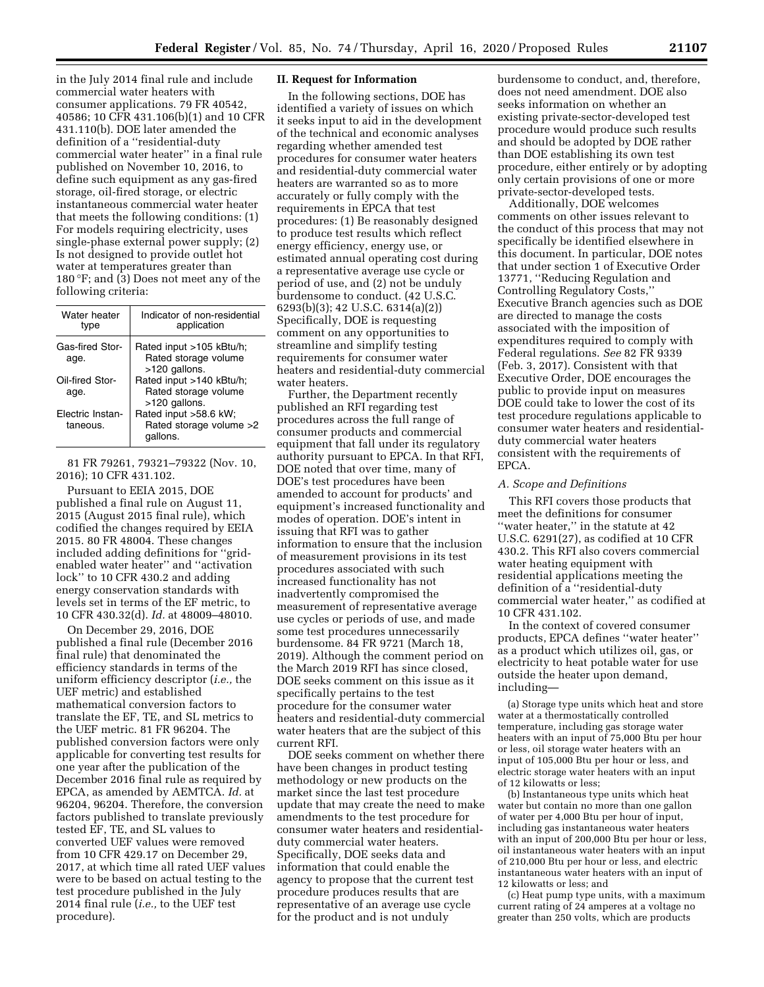in the July 2014 final rule and include commercial water heaters with consumer applications. 79 FR 40542, 40586; 10 CFR 431.106(b)(1) and 10 CFR 431.110(b). DOE later amended the definition of a ''residential-duty commercial water heater'' in a final rule published on November 10, 2016, to define such equipment as any gas-fired storage, oil-fired storage, or electric instantaneous commercial water heater that meets the following conditions: (1) For models requiring electricity, uses single-phase external power supply; (2) Is not designed to provide outlet hot water at temperatures greater than 180 °F; and (3) Does not meet any of the following criteria:

| Water heater<br>type         | Indicator of non-residential<br>application                       |
|------------------------------|-------------------------------------------------------------------|
| Gas-fired Stor-<br>age.      | Rated input >105 kBtu/h;<br>Rated storage volume<br>>120 gallons. |
| Oil-fired Stor-<br>age.      | Rated input >140 kBtu/h;<br>Rated storage volume<br>>120 gallons. |
| Electric Instan-<br>taneous. | Rated input >58.6 kW;<br>Rated storage volume >2<br>gallons.      |

81 FR 79261, 79321–79322 (Nov. 10, 2016); 10 CFR 431.102.

Pursuant to EEIA 2015, DOE published a final rule on August 11, 2015 (August 2015 final rule), which codified the changes required by EEIA 2015. 80 FR 48004. These changes included adding definitions for ''gridenabled water heater'' and ''activation lock'' to 10 CFR 430.2 and adding energy conservation standards with levels set in terms of the EF metric, to 10 CFR 430.32(d). *Id.* at 48009–48010.

On December 29, 2016, DOE published a final rule (December 2016 final rule) that denominated the efficiency standards in terms of the uniform efficiency descriptor (*i.e.,* the UEF metric) and established mathematical conversion factors to translate the EF, TE, and SL metrics to the UEF metric. 81 FR 96204. The published conversion factors were only applicable for converting test results for one year after the publication of the December 2016 final rule as required by EPCA, as amended by AEMTCA. *Id.* at 96204, 96204. Therefore, the conversion factors published to translate previously tested EF, TE, and SL values to converted UEF values were removed from 10 CFR 429.17 on December 29, 2017, at which time all rated UEF values were to be based on actual testing to the test procedure published in the July 2014 final rule (*i.e.,* to the UEF test procedure).

#### **II. Request for Information**

In the following sections, DOE has identified a variety of issues on which it seeks input to aid in the development of the technical and economic analyses regarding whether amended test procedures for consumer water heaters and residential-duty commercial water heaters are warranted so as to more accurately or fully comply with the requirements in EPCA that test procedures: (1) Be reasonably designed to produce test results which reflect energy efficiency, energy use, or estimated annual operating cost during a representative average use cycle or period of use, and (2) not be unduly burdensome to conduct. (42 U.S.C. 6293(b)(3); 42 U.S.C. 6314(a)(2)) Specifically, DOE is requesting comment on any opportunities to streamline and simplify testing requirements for consumer water heaters and residential-duty commercial water heaters.

Further, the Department recently published an RFI regarding test procedures across the full range of consumer products and commercial equipment that fall under its regulatory authority pursuant to EPCA. In that RFI, DOE noted that over time, many of DOE's test procedures have been amended to account for products' and equipment's increased functionality and modes of operation. DOE's intent in issuing that RFI was to gather information to ensure that the inclusion of measurement provisions in its test procedures associated with such increased functionality has not inadvertently compromised the measurement of representative average use cycles or periods of use, and made some test procedures unnecessarily burdensome. 84 FR 9721 (March 18, 2019). Although the comment period on the March 2019 RFI has since closed, DOE seeks comment on this issue as it specifically pertains to the test procedure for the consumer water heaters and residential-duty commercial water heaters that are the subject of this current RFI.

DOE seeks comment on whether there have been changes in product testing methodology or new products on the market since the last test procedure update that may create the need to make amendments to the test procedure for consumer water heaters and residentialduty commercial water heaters. Specifically, DOE seeks data and information that could enable the agency to propose that the current test procedure produces results that are representative of an average use cycle for the product and is not unduly

burdensome to conduct, and, therefore, does not need amendment. DOE also seeks information on whether an existing private-sector-developed test procedure would produce such results and should be adopted by DOE rather than DOE establishing its own test procedure, either entirely or by adopting only certain provisions of one or more private-sector-developed tests.

Additionally, DOE welcomes comments on other issues relevant to the conduct of this process that may not specifically be identified elsewhere in this document. In particular, DOE notes that under section 1 of Executive Order 13771, ''Reducing Regulation and Controlling Regulatory Costs,'' Executive Branch agencies such as DOE are directed to manage the costs associated with the imposition of expenditures required to comply with Federal regulations. *See* 82 FR 9339 (Feb. 3, 2017). Consistent with that Executive Order, DOE encourages the public to provide input on measures DOE could take to lower the cost of its test procedure regulations applicable to consumer water heaters and residentialduty commercial water heaters consistent with the requirements of EPCA.

#### *A. Scope and Definitions*

This RFI covers those products that meet the definitions for consumer ''water heater,'' in the statute at 42 U.S.C. 6291(27), as codified at 10 CFR 430.2. This RFI also covers commercial water heating equipment with residential applications meeting the definition of a ''residential-duty commercial water heater,'' as codified at 10 CFR 431.102.

In the context of covered consumer products, EPCA defines ''water heater'' as a product which utilizes oil, gas, or electricity to heat potable water for use outside the heater upon demand, including—

(a) Storage type units which heat and store water at a thermostatically controlled temperature, including gas storage water heaters with an input of 75,000 Btu per hour or less, oil storage water heaters with an input of 105,000 Btu per hour or less, and electric storage water heaters with an input of 12 kilowatts or less;

(b) Instantaneous type units which heat water but contain no more than one gallon of water per 4,000 Btu per hour of input, including gas instantaneous water heaters with an input of 200,000 Btu per hour or less, oil instantaneous water heaters with an input of 210,000 Btu per hour or less, and electric instantaneous water heaters with an input of 12 kilowatts or less; and

(c) Heat pump type units, with a maximum current rating of 24 amperes at a voltage no greater than 250 volts, which are products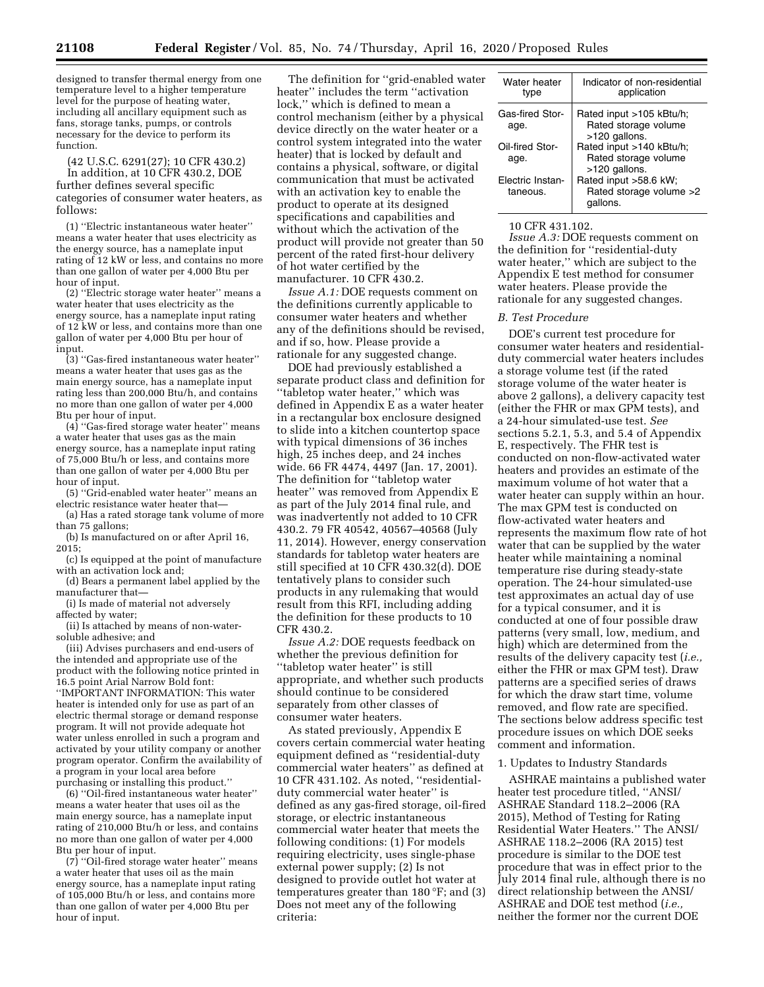designed to transfer thermal energy from one temperature level to a higher temperature level for the purpose of heating water, including all ancillary equipment such as fans, storage tanks, pumps, or controls necessary for the device to perform its function.

(42 U.S.C. 6291(27); 10 CFR 430.2) In addition, at 10 CFR 430.2, DOE further defines several specific categories of consumer water heaters, as follows:

(1) ''Electric instantaneous water heater'' means a water heater that uses electricity as the energy source, has a nameplate input rating of 12 kW or less, and contains no more than one gallon of water per 4,000 Btu per hour of input.

(2) ''Electric storage water heater'' means a water heater that uses electricity as the energy source, has a nameplate input rating of 12 kW or less, and contains more than one gallon of water per 4,000 Btu per hour of input.

(3) ''Gas-fired instantaneous water heater'' means a water heater that uses gas as the main energy source, has a nameplate input rating less than 200,000 Btu/h, and contains no more than one gallon of water per 4,000 Btu per hour of input.

(4) ''Gas-fired storage water heater'' means a water heater that uses gas as the main energy source, has a nameplate input rating of 75,000 Btu/h or less, and contains more than one gallon of water per 4,000 Btu per hour of input.

(5) ''Grid-enabled water heater'' means an electric resistance water heater that—

(a) Has a rated storage tank volume of more than 75 gallons;

(b) Is manufactured on or after April 16, 2015;

(c) Is equipped at the point of manufacture with an activation lock and;

(d) Bears a permanent label applied by the manufacturer that—

(i) Is made of material not adversely affected by water;

(ii) Is attached by means of non-watersoluble adhesive; and

(iii) Advises purchasers and end-users of the intended and appropriate use of the product with the following notice printed in 16.5 point Arial Narrow Bold font: ''IMPORTANT INFORMATION: This water heater is intended only for use as part of an electric thermal storage or demand response program. It will not provide adequate hot water unless enrolled in such a program and activated by your utility company or another program operator. Confirm the availability of a program in your local area before purchasing or installing this product.''

(6) ''Oil-fired instantaneous water heater'' means a water heater that uses oil as the main energy source, has a nameplate input rating of 210,000 Btu/h or less, and contains no more than one gallon of water per 4,000 Btu per hour of input.

(7) ''Oil-fired storage water heater'' means a water heater that uses oil as the main energy source, has a nameplate input rating of 105,000 Btu/h or less, and contains more than one gallon of water per 4,000 Btu per hour of input.

The definition for ''grid-enabled water heater'' includes the term ''activation lock,'' which is defined to mean a control mechanism (either by a physical device directly on the water heater or a control system integrated into the water heater) that is locked by default and contains a physical, software, or digital communication that must be activated with an activation key to enable the product to operate at its designed specifications and capabilities and without which the activation of the product will provide not greater than 50 percent of the rated first-hour delivery of hot water certified by the manufacturer. 10 CFR 430.2.

*Issue A.1:* DOE requests comment on the definitions currently applicable to consumer water heaters and whether any of the definitions should be revised, and if so, how. Please provide a rationale for any suggested change.

DOE had previously established a separate product class and definition for ''tabletop water heater,'' which was defined in Appendix E as a water heater in a rectangular box enclosure designed to slide into a kitchen countertop space with typical dimensions of 36 inches high, 25 inches deep, and 24 inches wide. 66 FR 4474, 4497 (Jan. 17, 2001). The definition for ''tabletop water heater'' was removed from Appendix E as part of the July 2014 final rule, and was inadvertently not added to 10 CFR 430.2. 79 FR 40542, 40567–40568 (July 11, 2014). However, energy conservation standards for tabletop water heaters are still specified at 10 CFR 430.32(d). DOE tentatively plans to consider such products in any rulemaking that would result from this RFI, including adding the definition for these products to 10 CFR 430.2.

*Issue A.2:* DOE requests feedback on whether the previous definition for ''tabletop water heater'' is still appropriate, and whether such products should continue to be considered separately from other classes of consumer water heaters.

As stated previously, Appendix E covers certain commercial water heating equipment defined as ''residential-duty commercial water heaters'' as defined at 10 CFR 431.102. As noted, ''residentialduty commercial water heater'' is defined as any gas-fired storage, oil-fired storage, or electric instantaneous commercial water heater that meets the following conditions: (1) For models requiring electricity, uses single-phase external power supply; (2) Is not designed to provide outlet hot water at temperatures greater than 180 °F; and (3) Does not meet any of the following criteria:

| Water heater<br>type         | Indicator of non-residential<br>application                       |
|------------------------------|-------------------------------------------------------------------|
| Gas-fired Stor-<br>age.      | Rated input >105 kBtu/h;<br>Rated storage volume<br>>120 gallons. |
| Oil-fired Stor-<br>age.      | Rated input >140 kBtu/h;<br>Rated storage volume<br>>120 gallons. |
| Electric Instan-<br>taneous. | Rated input >58.6 kW;<br>Rated storage volume >2<br>gallons.      |

#### 10 CFR 431.102.

*Issue A.3:* DOE requests comment on the definition for ''residential-duty water heater,'' which are subject to the Appendix E test method for consumer water heaters. Please provide the rationale for any suggested changes.

#### *B. Test Procedure*

DOE's current test procedure for consumer water heaters and residentialduty commercial water heaters includes a storage volume test (if the rated storage volume of the water heater is above 2 gallons), a delivery capacity test (either the FHR or max GPM tests), and a 24-hour simulated-use test. *See*  sections 5.2.1, 5.3, and 5.4 of Appendix E, respectively. The FHR test is conducted on non-flow-activated water heaters and provides an estimate of the maximum volume of hot water that a water heater can supply within an hour. The max GPM test is conducted on flow-activated water heaters and represents the maximum flow rate of hot water that can be supplied by the water heater while maintaining a nominal temperature rise during steady-state operation. The 24-hour simulated-use test approximates an actual day of use for a typical consumer, and it is conducted at one of four possible draw patterns (very small, low, medium, and high) which are determined from the results of the delivery capacity test (*i.e.,*  either the FHR or max GPM test). Draw patterns are a specified series of draws for which the draw start time, volume removed, and flow rate are specified. The sections below address specific test procedure issues on which DOE seeks comment and information.

#### 1. Updates to Industry Standards

ASHRAE maintains a published water heater test procedure titled, ''ANSI/ ASHRAE Standard 118.2–2006 (RA 2015), Method of Testing for Rating Residential Water Heaters.'' The ANSI/ ASHRAE 118.2–2006 (RA 2015) test procedure is similar to the DOE test procedure that was in effect prior to the July 2014 final rule, although there is no direct relationship between the ANSI/ ASHRAE and DOE test method (*i.e.,*  neither the former nor the current DOE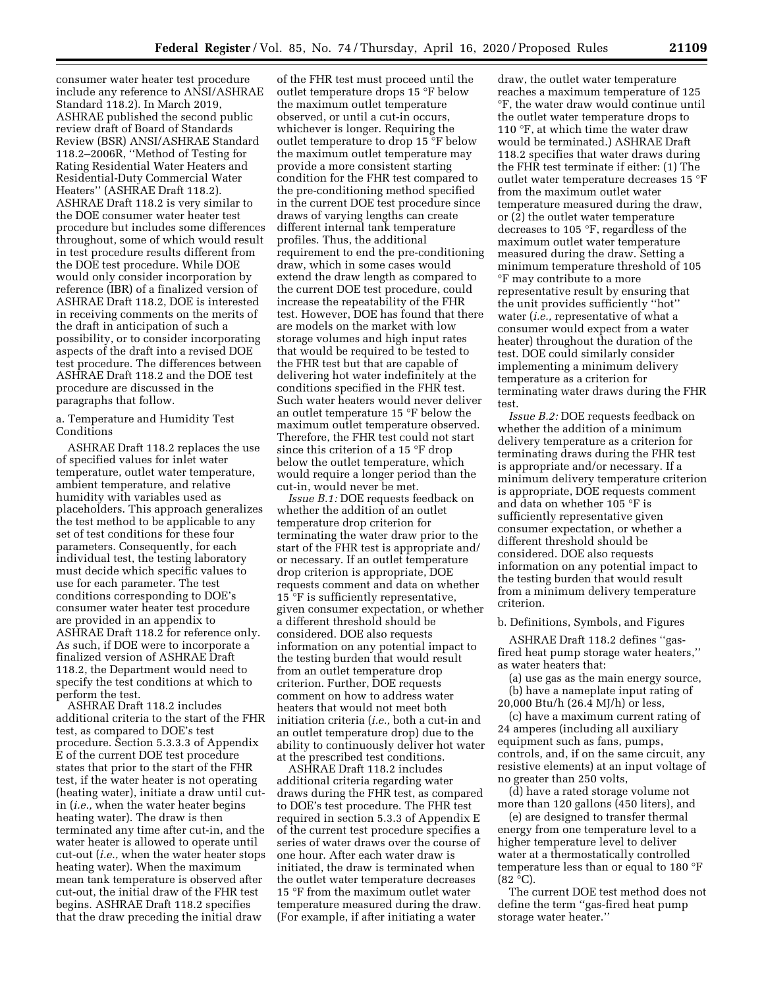consumer water heater test procedure include any reference to ANSI/ASHRAE Standard 118.2). In March 2019, ASHRAE published the second public review draft of Board of Standards Review (BSR) ANSI/ASHRAE Standard 118.2–2006R, ''Method of Testing for Rating Residential Water Heaters and Residential-Duty Commercial Water Heaters'' (ASHRAE Draft 118.2). ASHRAE Draft 118.2 is very similar to the DOE consumer water heater test procedure but includes some differences throughout, some of which would result in test procedure results different from the DOE test procedure. While DOE would only consider incorporation by reference (IBR) of a finalized version of ASHRAE Draft 118.2, DOE is interested in receiving comments on the merits of the draft in anticipation of such a possibility, or to consider incorporating aspects of the draft into a revised DOE test procedure. The differences between ASHRAE Draft 118.2 and the DOE test procedure are discussed in the paragraphs that follow.

a. Temperature and Humidity Test Conditions

ASHRAE Draft 118.2 replaces the use of specified values for inlet water temperature, outlet water temperature, ambient temperature, and relative humidity with variables used as placeholders. This approach generalizes the test method to be applicable to any set of test conditions for these four parameters. Consequently, for each individual test, the testing laboratory must decide which specific values to use for each parameter. The test conditions corresponding to DOE's consumer water heater test procedure are provided in an appendix to ASHRAE Draft 118.2 for reference only. As such, if DOE were to incorporate a finalized version of ASHRAE Draft 118.2, the Department would need to specify the test conditions at which to perform the test.

ASHRAE Draft 118.2 includes additional criteria to the start of the FHR test, as compared to DOE's test procedure. Section 5.3.3.3 of Appendix E of the current DOE test procedure states that prior to the start of the FHR test, if the water heater is not operating (heating water), initiate a draw until cutin (*i.e.,* when the water heater begins heating water). The draw is then terminated any time after cut-in, and the water heater is allowed to operate until cut-out (*i.e.,* when the water heater stops heating water). When the maximum mean tank temperature is observed after cut-out, the initial draw of the FHR test begins. ASHRAE Draft 118.2 specifies that the draw preceding the initial draw

of the FHR test must proceed until the outlet temperature drops 15 °F below the maximum outlet temperature observed, or until a cut-in occurs, whichever is longer. Requiring the outlet temperature to drop 15 °F below the maximum outlet temperature may provide a more consistent starting condition for the FHR test compared to the pre-conditioning method specified in the current DOE test procedure since draws of varying lengths can create different internal tank temperature profiles. Thus, the additional requirement to end the pre-conditioning draw, which in some cases would extend the draw length as compared to the current DOE test procedure, could increase the repeatability of the FHR test. However, DOE has found that there are models on the market with low storage volumes and high input rates that would be required to be tested to the FHR test but that are capable of delivering hot water indefinitely at the conditions specified in the FHR test. Such water heaters would never deliver an outlet temperature 15 °F below the maximum outlet temperature observed. Therefore, the FHR test could not start since this criterion of a 15 °F drop below the outlet temperature, which would require a longer period than the cut-in, would never be met.

*Issue B.1:* DOE requests feedback on whether the addition of an outlet temperature drop criterion for terminating the water draw prior to the start of the FHR test is appropriate and/ or necessary. If an outlet temperature drop criterion is appropriate, DOE requests comment and data on whether 15 °F is sufficiently representative, given consumer expectation, or whether a different threshold should be considered. DOE also requests information on any potential impact to the testing burden that would result from an outlet temperature drop criterion. Further, DOE requests comment on how to address water heaters that would not meet both initiation criteria (*i.e.,* both a cut-in and an outlet temperature drop) due to the ability to continuously deliver hot water at the prescribed test conditions.

ASHRAE Draft 118.2 includes additional criteria regarding water draws during the FHR test, as compared to DOE's test procedure. The FHR test required in section 5.3.3 of Appendix E of the current test procedure specifies a series of water draws over the course of one hour. After each water draw is initiated, the draw is terminated when the outlet water temperature decreases 15 °F from the maximum outlet water temperature measured during the draw. (For example, if after initiating a water

draw, the outlet water temperature reaches a maximum temperature of 125 °F, the water draw would continue until the outlet water temperature drops to 110 °F, at which time the water draw would be terminated.) ASHRAE Draft 118.2 specifies that water draws during the FHR test terminate if either: (1) The outlet water temperature decreases 15 °F from the maximum outlet water temperature measured during the draw, or (2) the outlet water temperature decreases to 105 °F, regardless of the maximum outlet water temperature measured during the draw. Setting a minimum temperature threshold of 105 °F may contribute to a more representative result by ensuring that the unit provides sufficiently ''hot'' water (*i.e.,* representative of what a consumer would expect from a water heater) throughout the duration of the test. DOE could similarly consider implementing a minimum delivery temperature as a criterion for terminating water draws during the FHR test.

*Issue B.2:* DOE requests feedback on whether the addition of a minimum delivery temperature as a criterion for terminating draws during the FHR test is appropriate and/or necessary. If a minimum delivery temperature criterion is appropriate, DOE requests comment and data on whether 105 °F is sufficiently representative given consumer expectation, or whether a different threshold should be considered. DOE also requests information on any potential impact to the testing burden that would result from a minimum delivery temperature criterion.

## b. Definitions, Symbols, and Figures

ASHRAE Draft 118.2 defines ''gasfired heat pump storage water heaters,'' as water heaters that:

(a) use gas as the main energy source, (b) have a nameplate input rating of 20,000 Btu/h (26.4 MJ/h) or less,

(c) have a maximum current rating of 24 amperes (including all auxiliary equipment such as fans, pumps, controls, and, if on the same circuit, any resistive elements) at an input voltage of no greater than 250 volts,

(d) have a rated storage volume not more than 120 gallons (450 liters), and

(e) are designed to transfer thermal energy from one temperature level to a higher temperature level to deliver water at a thermostatically controlled temperature less than or equal to 180 °F (82 °C).

The current DOE test method does not define the term ''gas-fired heat pump storage water heater.''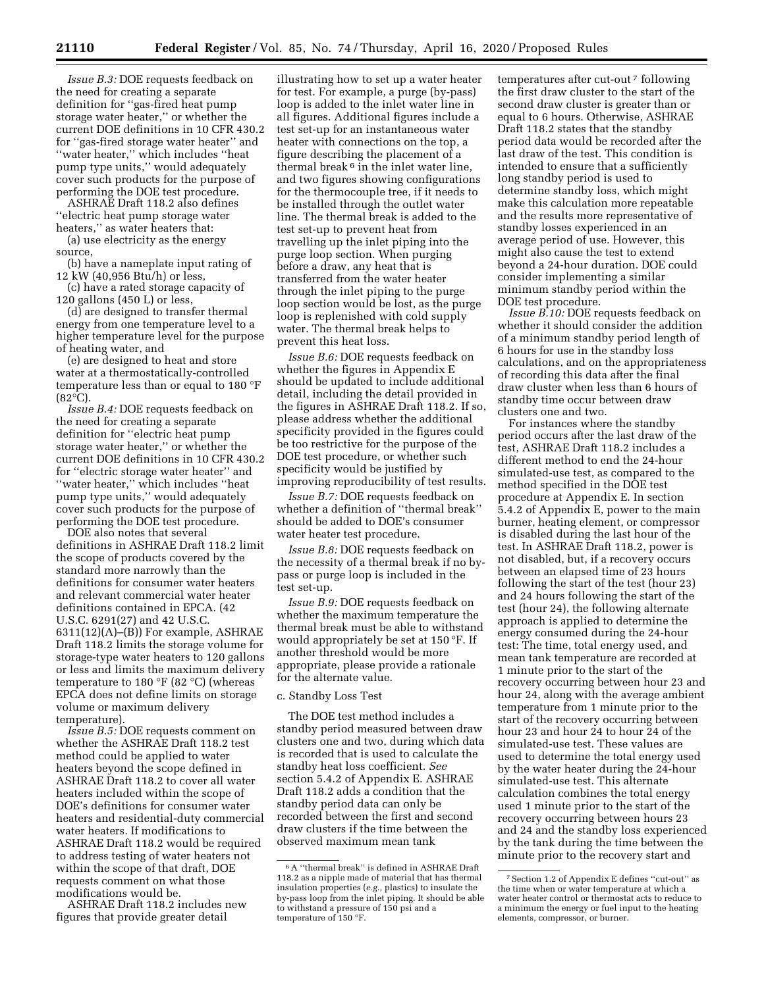*Issue B.3:* DOE requests feedback on the need for creating a separate definition for ''gas-fired heat pump storage water heater,'' or whether the current DOE definitions in 10 CFR 430.2 for ''gas-fired storage water heater'' and ''water heater,'' which includes ''heat pump type units,'' would adequately cover such products for the purpose of performing the DOE test procedure.

ASHRAE Draft 118.2 also defines ''electric heat pump storage water heaters,'' as water heaters that:

(a) use electricity as the energy source,

(b) have a nameplate input rating of 12 kW (40,956 Btu/h) or less,

(c) have a rated storage capacity of 120 gallons (450 L) or less,

(d) are designed to transfer thermal energy from one temperature level to a higher temperature level for the purpose of heating water, and

(e) are designed to heat and store water at a thermostatically-controlled temperature less than or equal to 180 °F  $(82^{\circ}C)$ .

*Issue B.4:* DOE requests feedback on the need for creating a separate definition for ''electric heat pump storage water heater,'' or whether the current DOE definitions in 10 CFR 430.2 for ''electric storage water heater'' and ''water heater,'' which includes ''heat pump type units,'' would adequately cover such products for the purpose of performing the DOE test procedure.

DOE also notes that several definitions in ASHRAE Draft 118.2 limit the scope of products covered by the standard more narrowly than the definitions for consumer water heaters and relevant commercial water heater definitions contained in EPCA. (42 U.S.C. 6291(27) and 42 U.S.C.  $6311(12)(A)$ – $(B)$ ) For example, ASHRAE Draft 118.2 limits the storage volume for storage-type water heaters to 120 gallons or less and limits the maximum delivery temperature to 180 °F (82 °C) (whereas EPCA does not define limits on storage volume or maximum delivery temperature).

*Issue B.5:* DOE requests comment on whether the ASHRAE Draft 118.2 test method could be applied to water heaters beyond the scope defined in ASHRAE Draft 118.2 to cover all water heaters included within the scope of DOE's definitions for consumer water heaters and residential-duty commercial water heaters. If modifications to ASHRAE Draft 118.2 would be required to address testing of water heaters not within the scope of that draft, DOE requests comment on what those modifications would be.

ASHRAE Draft 118.2 includes new figures that provide greater detail

illustrating how to set up a water heater for test. For example, a purge (by-pass) loop is added to the inlet water line in all figures. Additional figures include a test set-up for an instantaneous water heater with connections on the top, a figure describing the placement of a thermal break  $6$  in the inlet water line, and two figures showing configurations for the thermocouple tree, if it needs to be installed through the outlet water line. The thermal break is added to the test set-up to prevent heat from travelling up the inlet piping into the purge loop section. When purging before a draw, any heat that is transferred from the water heater through the inlet piping to the purge loop section would be lost, as the purge loop is replenished with cold supply water. The thermal break helps to prevent this heat loss.

*Issue B.6:* DOE requests feedback on whether the figures in Appendix E should be updated to include additional detail, including the detail provided in the figures in ASHRAE Draft 118.2. If so, please address whether the additional specificity provided in the figures could be too restrictive for the purpose of the DOE test procedure, or whether such specificity would be justified by improving reproducibility of test results.

*Issue B.7:* DOE requests feedback on whether a definition of ''thermal break'' should be added to DOE's consumer water heater test procedure.

*Issue B.8:* DOE requests feedback on the necessity of a thermal break if no bypass or purge loop is included in the test set-up.

*Issue B.9:* DOE requests feedback on whether the maximum temperature the thermal break must be able to withstand would appropriately be set at 150 °F. If another threshold would be more appropriate, please provide a rationale for the alternate value.

#### c. Standby Loss Test

The DOE test method includes a standby period measured between draw clusters one and two, during which data is recorded that is used to calculate the standby heat loss coefficient. *See*  section 5.4.2 of Appendix E. ASHRAE Draft 118.2 adds a condition that the standby period data can only be recorded between the first and second draw clusters if the time between the observed maximum mean tank

temperatures after cut-out 7 following the first draw cluster to the start of the second draw cluster is greater than or equal to 6 hours. Otherwise, ASHRAE Draft 118.2 states that the standby period data would be recorded after the last draw of the test. This condition is intended to ensure that a sufficiently long standby period is used to determine standby loss, which might make this calculation more repeatable and the results more representative of standby losses experienced in an average period of use. However, this might also cause the test to extend beyond a 24-hour duration. DOE could consider implementing a similar minimum standby period within the DOE test procedure.

*Issue B.10:* DOE requests feedback on whether it should consider the addition of a minimum standby period length of 6 hours for use in the standby loss calculations, and on the appropriateness of recording this data after the final draw cluster when less than 6 hours of standby time occur between draw clusters one and two.

For instances where the standby period occurs after the last draw of the test, ASHRAE Draft 118.2 includes a different method to end the 24-hour simulated-use test, as compared to the method specified in the DOE test procedure at Appendix E. In section 5.4.2 of Appendix E, power to the main burner, heating element, or compressor is disabled during the last hour of the test. In ASHRAE Draft 118.2, power is not disabled, but, if a recovery occurs between an elapsed time of 23 hours following the start of the test (hour 23) and 24 hours following the start of the test (hour 24), the following alternate approach is applied to determine the energy consumed during the 24-hour test: The time, total energy used, and mean tank temperature are recorded at 1 minute prior to the start of the recovery occurring between hour 23 and hour 24, along with the average ambient temperature from 1 minute prior to the start of the recovery occurring between hour 23 and hour 24 to hour 24 of the simulated-use test. These values are used to determine the total energy used by the water heater during the 24-hour simulated-use test. This alternate calculation combines the total energy used 1 minute prior to the start of the recovery occurring between hours 23 and 24 and the standby loss experienced by the tank during the time between the minute prior to the recovery start and

<sup>6</sup>A ''thermal break'' is defined in ASHRAE Draft 118.2 as a nipple made of material that has thermal insulation properties (*e.g.,* plastics) to insulate the by-pass loop from the inlet piping. It should be able to withstand a pressure of 150 psi and a temperature of 150 °F.

<sup>7</sup>Section 1.2 of Appendix E defines ''cut-out'' as the time when or water temperature at which a water heater control or thermostat acts to reduce to a minimum the energy or fuel input to the heating elements, compressor, or burner.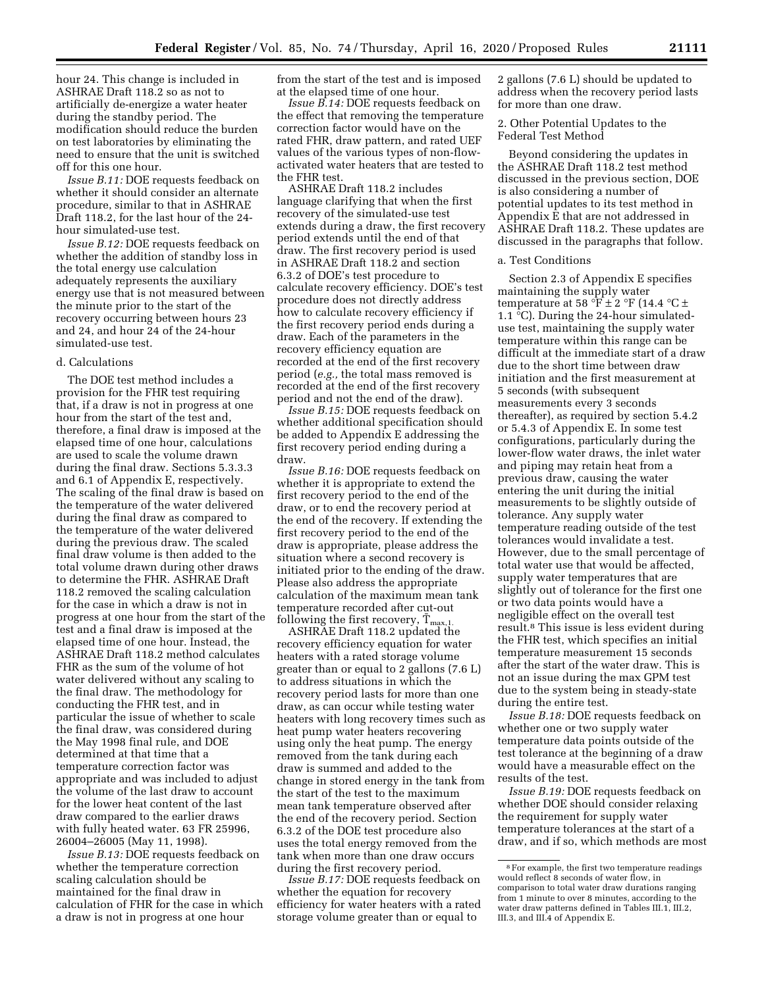hour 24. This change is included in ASHRAE Draft 118.2 so as not to artificially de-energize a water heater during the standby period. The modification should reduce the burden on test laboratories by eliminating the need to ensure that the unit is switched off for this one hour.

*Issue B.11:* DOE requests feedback on whether it should consider an alternate procedure, similar to that in ASHRAE Draft 118.2, for the last hour of the 24 hour simulated-use test.

*Issue B.12:* DOE requests feedback on whether the addition of standby loss in the total energy use calculation adequately represents the auxiliary energy use that is not measured between the minute prior to the start of the recovery occurring between hours 23 and 24, and hour 24 of the 24-hour simulated-use test.

## d. Calculations

The DOE test method includes a provision for the FHR test requiring that, if a draw is not in progress at one hour from the start of the test and, therefore, a final draw is imposed at the elapsed time of one hour, calculations are used to scale the volume drawn during the final draw. Sections 5.3.3.3 and 6.1 of Appendix E, respectively. The scaling of the final draw is based on the temperature of the water delivered during the final draw as compared to the temperature of the water delivered during the previous draw. The scaled final draw volume is then added to the total volume drawn during other draws to determine the FHR. ASHRAE Draft 118.2 removed the scaling calculation for the case in which a draw is not in progress at one hour from the start of the test and a final draw is imposed at the elapsed time of one hour. Instead, the ASHRAE Draft 118.2 method calculates FHR as the sum of the volume of hot water delivered without any scaling to the final draw. The methodology for conducting the FHR test, and in particular the issue of whether to scale the final draw, was considered during the May 1998 final rule, and DOE determined at that time that a temperature correction factor was appropriate and was included to adjust the volume of the last draw to account for the lower heat content of the last draw compared to the earlier draws with fully heated water. 63 FR 25996, 26004–26005 (May 11, 1998).

*Issue B.13:* DOE requests feedback on whether the temperature correction scaling calculation should be maintained for the final draw in calculation of FHR for the case in which a draw is not in progress at one hour

from the start of the test and is imposed at the elapsed time of one hour.

*Issue B.14:* DOE requests feedback on the effect that removing the temperature correction factor would have on the rated FHR, draw pattern, and rated UEF values of the various types of non-flowactivated water heaters that are tested to the FHR test.

ASHRAE Draft 118.2 includes language clarifying that when the first recovery of the simulated-use test extends during a draw, the first recovery period extends until the end of that draw. The first recovery period is used in ASHRAE Draft 118.2 and section 6.3.2 of DOE's test procedure to calculate recovery efficiency. DOE's test procedure does not directly address how to calculate recovery efficiency if the first recovery period ends during a draw. Each of the parameters in the recovery efficiency equation are recorded at the end of the first recovery period (*e.g.,* the total mass removed is recorded at the end of the first recovery period and not the end of the draw).

*Issue B.15:* DOE requests feedback on whether additional specification should be added to Appendix E addressing the first recovery period ending during a draw.

*Issue B.16:* DOE requests feedback on whether it is appropriate to extend the first recovery period to the end of the draw, or to end the recovery period at the end of the recovery. If extending the first recovery period to the end of the draw is appropriate, please address the situation where a second recovery is initiated prior to the ending of the draw. Please also address the appropriate calculation of the maximum mean tank temperature recorded after cut-out following the first recovery,  $T_{max,1}$ .

ASHRAE Draft 118.2 updated the recovery efficiency equation for water heaters with a rated storage volume greater than or equal to 2 gallons (7.6 L) to address situations in which the recovery period lasts for more than one draw, as can occur while testing water heaters with long recovery times such as heat pump water heaters recovering using only the heat pump. The energy removed from the tank during each draw is summed and added to the change in stored energy in the tank from the start of the test to the maximum mean tank temperature observed after the end of the recovery period. Section 6.3.2 of the DOE test procedure also uses the total energy removed from the tank when more than one draw occurs during the first recovery period.

*Issue B.17:* DOE requests feedback on whether the equation for recovery efficiency for water heaters with a rated storage volume greater than or equal to

2 gallons (7.6 L) should be updated to address when the recovery period lasts for more than one draw.

2. Other Potential Updates to the Federal Test Method

Beyond considering the updates in the ASHRAE Draft 118.2 test method discussed in the previous section, DOE is also considering a number of potential updates to its test method in Appendix E that are not addressed in ASHRAE Draft 118.2. These updates are discussed in the paragraphs that follow.

## a. Test Conditions

Section 2.3 of Appendix E specifies maintaining the supply water temperature at 58 °F ± 2 °F (14.4 °C ± 1.1 °C). During the 24-hour simulateduse test, maintaining the supply water temperature within this range can be difficult at the immediate start of a draw due to the short time between draw initiation and the first measurement at 5 seconds (with subsequent measurements every 3 seconds thereafter), as required by section 5.4.2 or 5.4.3 of Appendix E. In some test configurations, particularly during the lower-flow water draws, the inlet water and piping may retain heat from a previous draw, causing the water entering the unit during the initial measurements to be slightly outside of tolerance. Any supply water temperature reading outside of the test tolerances would invalidate a test. However, due to the small percentage of total water use that would be affected, supply water temperatures that are slightly out of tolerance for the first one or two data points would have a negligible effect on the overall test result.8 This issue is less evident during the FHR test, which specifies an initial temperature measurement 15 seconds after the start of the water draw. This is not an issue during the max GPM test due to the system being in steady-state during the entire test.

*Issue B.18:* DOE requests feedback on whether one or two supply water temperature data points outside of the test tolerance at the beginning of a draw would have a measurable effect on the results of the test.

*Issue B.19:* DOE requests feedback on whether DOE should consider relaxing the requirement for supply water temperature tolerances at the start of a draw, and if so, which methods are most

<sup>8</sup>For example, the first two temperature readings would reflect 8 seconds of water flow, in comparison to total water draw durations ranging from 1 minute to over 8 minutes, according to the water draw patterns defined in Tables III.1, III.2, III.3, and III.4 of Appendix E.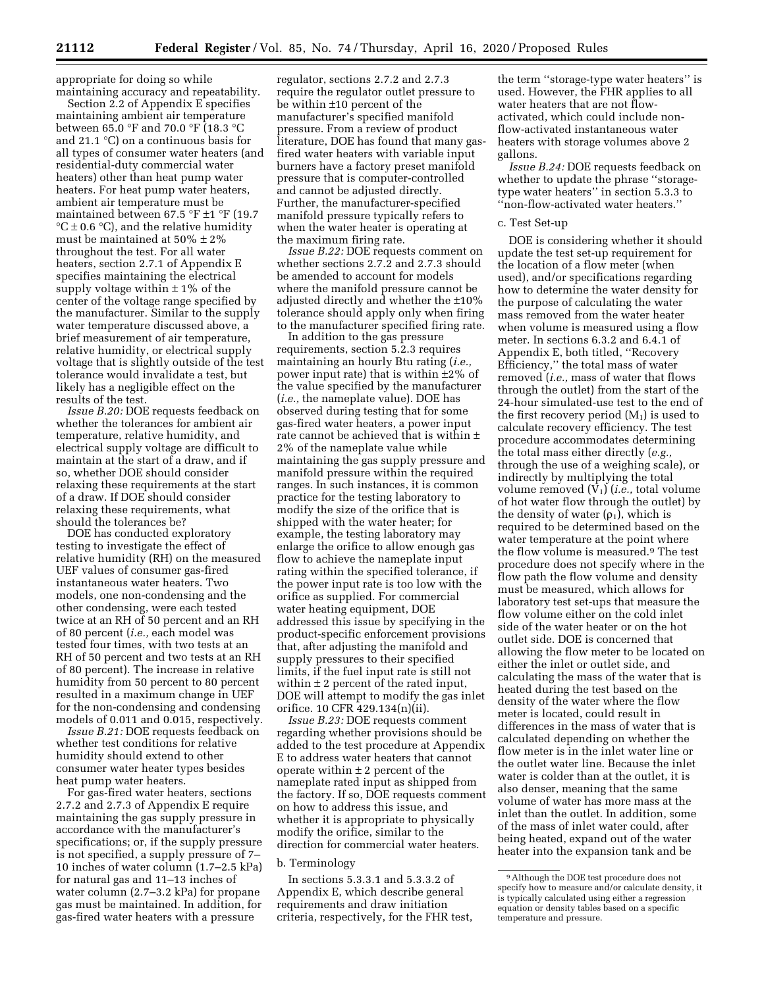appropriate for doing so while maintaining accuracy and repeatability.

Section 2.2 of Appendix E specifies maintaining ambient air temperature between 65.0 °F and 70.0 °F (18.3 °C and 21.1 °C) on a continuous basis for all types of consumer water heaters (and residential-duty commercial water heaters) other than heat pump water heaters. For heat pump water heaters, ambient air temperature must be maintained between 67.5 °F ±1 °F (19.7  $\mathrm{C} \pm 0.6 \mathrm{~} \mathrm{C}$ , and the relative humidity must be maintained at  $50\% \pm 2\%$ throughout the test. For all water heaters, section 2.7.1 of Appendix E specifies maintaining the electrical supply voltage within  $\pm$  1% of the center of the voltage range specified by the manufacturer. Similar to the supply water temperature discussed above, a brief measurement of air temperature, relative humidity, or electrical supply voltage that is slightly outside of the test tolerance would invalidate a test, but likely has a negligible effect on the results of the test.

*Issue B.20:* DOE requests feedback on whether the tolerances for ambient air temperature, relative humidity, and electrical supply voltage are difficult to maintain at the start of a draw, and if so, whether DOE should consider relaxing these requirements at the start of a draw. If DOE should consider relaxing these requirements, what should the tolerances be?

DOE has conducted exploratory testing to investigate the effect of relative humidity (RH) on the measured UEF values of consumer gas-fired instantaneous water heaters. Two models, one non-condensing and the other condensing, were each tested twice at an RH of 50 percent and an RH of 80 percent (*i.e.,* each model was tested four times, with two tests at an RH of 50 percent and two tests at an RH of 80 percent). The increase in relative humidity from 50 percent to 80 percent resulted in a maximum change in UEF for the non-condensing and condensing models of 0.011 and 0.015, respectively.

*Issue B.21:* DOE requests feedback on whether test conditions for relative humidity should extend to other consumer water heater types besides heat pump water heaters.

For gas-fired water heaters, sections 2.7.2 and 2.7.3 of Appendix E require maintaining the gas supply pressure in accordance with the manufacturer's specifications; or, if the supply pressure is not specified, a supply pressure of 7– 10 inches of water column (1.7–2.5 kPa) for natural gas and 11–13 inches of water column (2.7–3.2 kPa) for propane gas must be maintained. In addition, for gas-fired water heaters with a pressure

regulator, sections 2.7.2 and 2.7.3 require the regulator outlet pressure to be within ±10 percent of the manufacturer's specified manifold pressure. From a review of product literature, DOE has found that many gasfired water heaters with variable input burners have a factory preset manifold pressure that is computer-controlled and cannot be adjusted directly. Further, the manufacturer-specified manifold pressure typically refers to when the water heater is operating at the maximum firing rate.

*Issue B.22:* DOE requests comment on whether sections 2.7.2 and 2.7.3 should be amended to account for models where the manifold pressure cannot be adjusted directly and whether the ±10% tolerance should apply only when firing to the manufacturer specified firing rate.

In addition to the gas pressure requirements, section 5.2.3 requires maintaining an hourly Btu rating (*i.e.,*  power input rate) that is within ±2% of the value specified by the manufacturer (*i.e.,* the nameplate value). DOE has observed during testing that for some gas-fired water heaters, a power input rate cannot be achieved that is within ± 2% of the nameplate value while maintaining the gas supply pressure and manifold pressure within the required ranges. In such instances, it is common practice for the testing laboratory to modify the size of the orifice that is shipped with the water heater; for example, the testing laboratory may enlarge the orifice to allow enough gas flow to achieve the nameplate input rating within the specified tolerance, if the power input rate is too low with the orifice as supplied. For commercial water heating equipment, DOE addressed this issue by specifying in the product-specific enforcement provisions that, after adjusting the manifold and supply pressures to their specified limits, if the fuel input rate is still not within  $\pm 2$  percent of the rated input, DOE will attempt to modify the gas inlet orifice. 10 CFR 429.134(n)(ii).

*Issue B.23:* DOE requests comment regarding whether provisions should be added to the test procedure at Appendix E to address water heaters that cannot operate within  $\pm 2$  percent of the nameplate rated input as shipped from the factory. If so, DOE requests comment on how to address this issue, and whether it is appropriate to physically modify the orifice, similar to the direction for commercial water heaters.

#### b. Terminology

In sections 5.3.3.1 and 5.3.3.2 of Appendix E, which describe general requirements and draw initiation criteria, respectively, for the FHR test,

the term ''storage-type water heaters'' is used. However, the FHR applies to all water heaters that are not flowactivated, which could include nonflow-activated instantaneous water heaters with storage volumes above 2 gallons.

*Issue B.24:* DOE requests feedback on whether to update the phrase ''storagetype water heaters'' in section 5.3.3 to ''non-flow-activated water heaters.''

#### c. Test Set-up

DOE is considering whether it should update the test set-up requirement for the location of a flow meter (when used), and/or specifications regarding how to determine the water density for the purpose of calculating the water mass removed from the water heater when volume is measured using a flow meter. In sections 6.3.2 and 6.4.1 of Appendix E, both titled, ''Recovery Efficiency,'' the total mass of water removed (*i.e.,* mass of water that flows through the outlet) from the start of the 24-hour simulated-use test to the end of the first recovery period  $(M_1)$  is used to calculate recovery efficiency. The test procedure accommodates determining the total mass either directly (*e.g.,*  through the use of a weighing scale), or indirectly by multiplying the total volume removed (V1) (*i.e.,* total volume of hot water flow through the outlet) by the density of water  $(\rho_1)$ , which is required to be determined based on the water temperature at the point where the flow volume is measured.9 The test procedure does not specify where in the flow path the flow volume and density must be measured, which allows for laboratory test set-ups that measure the flow volume either on the cold inlet side of the water heater or on the hot outlet side. DOE is concerned that allowing the flow meter to be located on either the inlet or outlet side, and calculating the mass of the water that is heated during the test based on the density of the water where the flow meter is located, could result in differences in the mass of water that is calculated depending on whether the flow meter is in the inlet water line or the outlet water line. Because the inlet water is colder than at the outlet, it is also denser, meaning that the same volume of water has more mass at the inlet than the outlet. In addition, some of the mass of inlet water could, after being heated, expand out of the water heater into the expansion tank and be

<sup>9</sup>Although the DOE test procedure does not specify how to measure and/or calculate density, it is typically calculated using either a regression equation or density tables based on a specific temperature and pressure.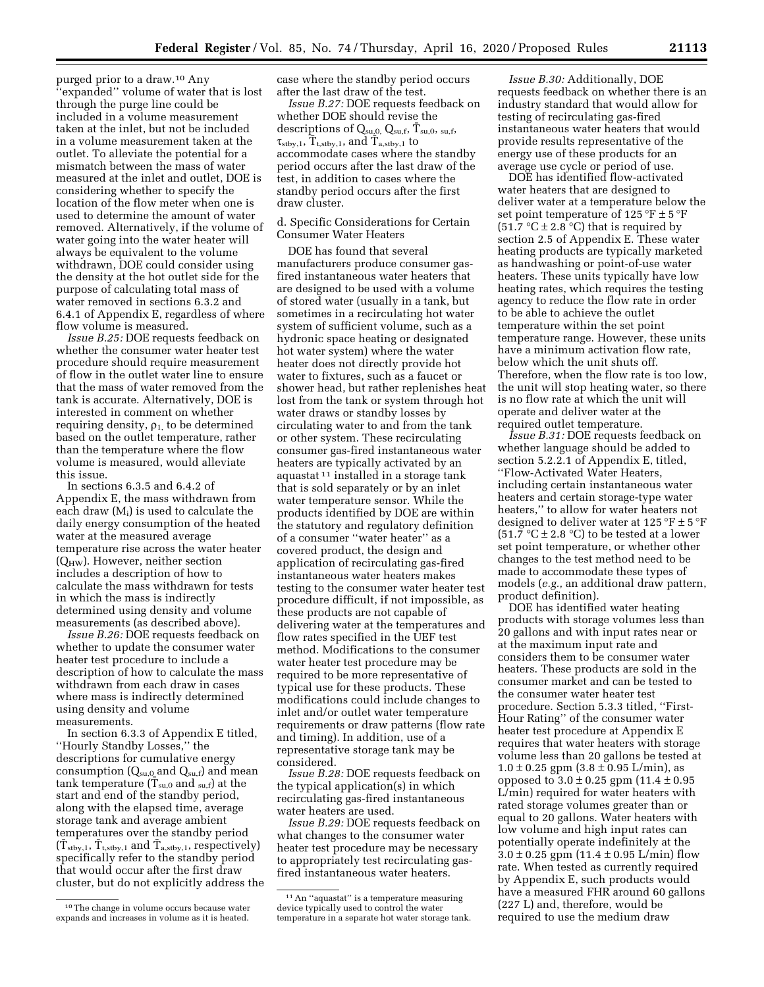purged prior to a draw.10 Any ''expanded'' volume of water that is lost through the purge line could be included in a volume measurement taken at the inlet, but not be included in a volume measurement taken at the outlet. To alleviate the potential for a mismatch between the mass of water measured at the inlet and outlet, DOE is considering whether to specify the location of the flow meter when one is used to determine the amount of water removed. Alternatively, if the volume of water going into the water heater will always be equivalent to the volume withdrawn, DOE could consider using the density at the hot outlet side for the purpose of calculating total mass of water removed in sections 6.3.2 and 6.4.1 of Appendix E, regardless of where flow volume is measured.

*Issue B.25:* DOE requests feedback on whether the consumer water heater test procedure should require measurement of flow in the outlet water line to ensure that the mass of water removed from the tank is accurate. Alternatively, DOE is interested in comment on whether requiring density,  $\rho_1$ , to be determined based on the outlet temperature, rather than the temperature where the flow volume is measured, would alleviate this issue.

In sections 6.3.5 and 6.4.2 of Appendix E, the mass withdrawn from each draw (Mi) is used to calculate the daily energy consumption of the heated water at the measured average temperature rise across the water heater  $(Q<sub>HW</sub>)$ . However, neither section includes a description of how to calculate the mass withdrawn for tests in which the mass is indirectly determined using density and volume measurements (as described above).

*Issue B.26:* DOE requests feedback on whether to update the consumer water heater test procedure to include a description of how to calculate the mass withdrawn from each draw in cases where mass is indirectly determined using density and volume measurements.

In section 6.3.3 of Appendix E titled, ''Hourly Standby Losses,'' the descriptions for cumulative energy consumption  $(Q_{su,0}$  and  $Q_{su,f})$  and mean tank temperature ( $\overline{T}_{su,0}$  and  $_{su,f}$ ) at the start and end of the standby period, along with the elapsed time, average storage tank and average ambient temperatures over the standby period  $(\bar{T}_{\text{stby},1}, \bar{T}_{\text{t,stby},1} \text{ and } \bar{T}_{\text{a,stby},1} \text{, respectively})$ specifically refer to the standby period that would occur after the first draw cluster, but do not explicitly address the case where the standby period occurs after the last draw of the test.

*Issue B.27:* DOE requests feedback on whether DOE should revise the descriptions of  $Q_{su,0}$ ,  $Q_{su,f}$ ,  $\bar{T}_{su,0}$ ,  $_{su,f}$ ,  $\tau_{\text{stby},1}$ ,  $\bar{T}_{\text{t,stby},1}$ , and  $\bar{T}_{\text{a,stby},1}$  to accommodate cases where the standby period occurs after the last draw of the test, in addition to cases where the standby period occurs after the first draw cluster.

## d. Specific Considerations for Certain Consumer Water Heaters

DOE has found that several manufacturers produce consumer gasfired instantaneous water heaters that are designed to be used with a volume of stored water (usually in a tank, but sometimes in a recirculating hot water system of sufficient volume, such as a hydronic space heating or designated hot water system) where the water heater does not directly provide hot water to fixtures, such as a faucet or shower head, but rather replenishes heat lost from the tank or system through hot water draws or standby losses by circulating water to and from the tank or other system. These recirculating consumer gas-fired instantaneous water heaters are typically activated by an aquastat 11 installed in a storage tank that is sold separately or by an inlet water temperature sensor. While the products identified by DOE are within the statutory and regulatory definition of a consumer ''water heater'' as a covered product, the design and application of recirculating gas-fired instantaneous water heaters makes testing to the consumer water heater test procedure difficult, if not impossible, as these products are not capable of delivering water at the temperatures and flow rates specified in the UEF test method. Modifications to the consumer water heater test procedure may be required to be more representative of typical use for these products. These modifications could include changes to inlet and/or outlet water temperature requirements or draw patterns (flow rate and timing). In addition, use of a representative storage tank may be considered.

*Issue B.28:* DOE requests feedback on the typical application(s) in which recirculating gas-fired instantaneous water heaters are used.

*Issue B.29:* DOE requests feedback on what changes to the consumer water heater test procedure may be necessary to appropriately test recirculating gasfired instantaneous water heaters.

*Issue B.30:* Additionally, DOE requests feedback on whether there is an industry standard that would allow for testing of recirculating gas-fired instantaneous water heaters that would provide results representative of the energy use of these products for an average use cycle or period of use.

DOE has identified flow-activated water heaters that are designed to deliver water at a temperature below the set point temperature of 125 °F  $\pm$  5 °F  $(51.7 \text{ °C} \pm 2.8 \text{ °C})$  that is required by section 2.5 of Appendix E. These water heating products are typically marketed as handwashing or point-of-use water heaters. These units typically have low heating rates, which requires the testing agency to reduce the flow rate in order to be able to achieve the outlet temperature within the set point temperature range. However, these units have a minimum activation flow rate, below which the unit shuts off. Therefore, when the flow rate is too low, the unit will stop heating water, so there is no flow rate at which the unit will operate and deliver water at the required outlet temperature.

*Issue B.31:* DOE requests feedback on whether language should be added to section 5.2.2.1 of Appendix E, titled, ''Flow-Activated Water Heaters, including certain instantaneous water heaters and certain storage-type water heaters,'' to allow for water heaters not designed to deliver water at  $125 \degree F \pm 5 \degree F$ (51.7  $\mathrm{C} \pm 2.8 \mathrm{C}$ ) to be tested at a lower set point temperature, or whether other changes to the test method need to be made to accommodate these types of models (*e.g.,* an additional draw pattern, product definition).

DOE has identified water heating products with storage volumes less than 20 gallons and with input rates near or at the maximum input rate and considers them to be consumer water heaters. These products are sold in the consumer market and can be tested to the consumer water heater test procedure. Section 5.3.3 titled, ''First-Hour Rating'' of the consumer water heater test procedure at Appendix E requires that water heaters with storage volume less than 20 gallons be tested at  $1.0 \pm 0.25$  gpm  $(3.8 \pm 0.95 \text{ L/min})$ , as opposed to  $3.0 \pm 0.25$  gpm  $(11.4 \pm 0.95)$ L/min) required for water heaters with rated storage volumes greater than or equal to 20 gallons. Water heaters with low volume and high input rates can potentially operate indefinitely at the  $3.0 \pm 0.25$  gpm  $(11.4 \pm 0.95 \text{ L/min})$  flow rate. When tested as currently required by Appendix E, such products would have a measured FHR around 60 gallons (227 L) and, therefore, would be required to use the medium draw

<sup>10</sup>The change in volume occurs because water expands and increases in volume as it is heated.

<sup>11</sup>An ''aquastat'' is a temperature measuring device typically used to control the water temperature in a separate hot water storage tank.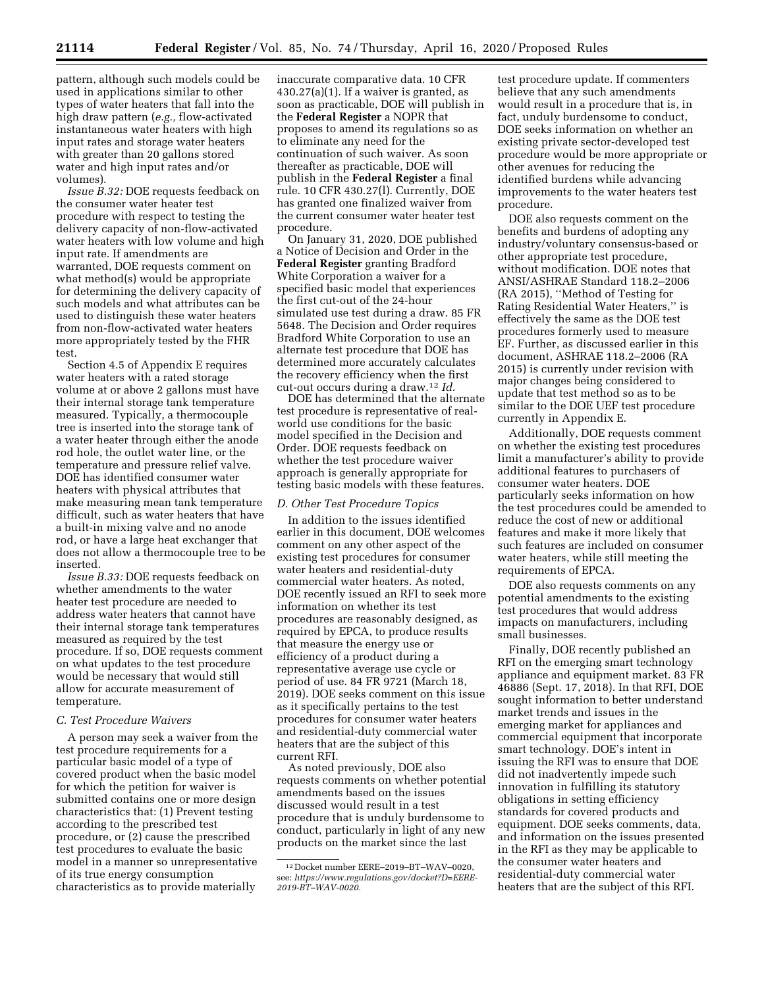pattern, although such models could be used in applications similar to other types of water heaters that fall into the high draw pattern (*e.g.,* flow-activated instantaneous water heaters with high input rates and storage water heaters with greater than 20 gallons stored water and high input rates and/or volumes).

*Issue B.32:* DOE requests feedback on the consumer water heater test procedure with respect to testing the delivery capacity of non-flow-activated water heaters with low volume and high input rate. If amendments are warranted, DOE requests comment on what method(s) would be appropriate for determining the delivery capacity of such models and what attributes can be used to distinguish these water heaters from non-flow-activated water heaters more appropriately tested by the FHR test.

Section 4.5 of Appendix E requires water heaters with a rated storage volume at or above 2 gallons must have their internal storage tank temperature measured. Typically, a thermocouple tree is inserted into the storage tank of a water heater through either the anode rod hole, the outlet water line, or the temperature and pressure relief valve. DOE has identified consumer water heaters with physical attributes that make measuring mean tank temperature difficult, such as water heaters that have a built-in mixing valve and no anode rod, or have a large heat exchanger that does not allow a thermocouple tree to be inserted.

*Issue B.33:* DOE requests feedback on whether amendments to the water heater test procedure are needed to address water heaters that cannot have their internal storage tank temperatures measured as required by the test procedure. If so, DOE requests comment on what updates to the test procedure would be necessary that would still allow for accurate measurement of temperature.

#### *C. Test Procedure Waivers*

A person may seek a waiver from the test procedure requirements for a particular basic model of a type of covered product when the basic model for which the petition for waiver is submitted contains one or more design characteristics that: (1) Prevent testing according to the prescribed test procedure, or (2) cause the prescribed test procedures to evaluate the basic model in a manner so unrepresentative of its true energy consumption characteristics as to provide materially

inaccurate comparative data. 10 CFR  $430.27(a)(1)$ . If a waiver is granted, as soon as practicable, DOE will publish in the **Federal Register** a NOPR that proposes to amend its regulations so as to eliminate any need for the continuation of such waiver. As soon thereafter as practicable, DOE will publish in the **Federal Register** a final rule. 10 CFR 430.27(l). Currently, DOE has granted one finalized waiver from the current consumer water heater test procedure.

On January 31, 2020, DOE published a Notice of Decision and Order in the **Federal Register** granting Bradford White Corporation a waiver for a specified basic model that experiences the first cut-out of the 24-hour simulated use test during a draw. 85 FR 5648. The Decision and Order requires Bradford White Corporation to use an alternate test procedure that DOE has determined more accurately calculates the recovery efficiency when the first cut-out occurs during a draw.12 *Id.* 

DOE has determined that the alternate test procedure is representative of realworld use conditions for the basic model specified in the Decision and Order. DOE requests feedback on whether the test procedure waiver approach is generally appropriate for testing basic models with these features.

## *D. Other Test Procedure Topics*

In addition to the issues identified earlier in this document, DOE welcomes comment on any other aspect of the existing test procedures for consumer water heaters and residential-duty commercial water heaters. As noted, DOE recently issued an RFI to seek more information on whether its test procedures are reasonably designed, as required by EPCA, to produce results that measure the energy use or efficiency of a product during a representative average use cycle or period of use. 84 FR 9721 (March 18, 2019). DOE seeks comment on this issue as it specifically pertains to the test procedures for consumer water heaters and residential-duty commercial water heaters that are the subject of this current RFI.

As noted previously, DOE also requests comments on whether potential amendments based on the issues discussed would result in a test procedure that is unduly burdensome to conduct, particularly in light of any new products on the market since the last

test procedure update. If commenters believe that any such amendments would result in a procedure that is, in fact, unduly burdensome to conduct, DOE seeks information on whether an existing private sector-developed test procedure would be more appropriate or other avenues for reducing the identified burdens while advancing improvements to the water heaters test procedure.

DOE also requests comment on the benefits and burdens of adopting any industry/voluntary consensus-based or other appropriate test procedure, without modification. DOE notes that ANSI/ASHRAE Standard 118.2–2006 (RA 2015), ''Method of Testing for Rating Residential Water Heaters,'' is effectively the same as the DOE test procedures formerly used to measure EF. Further, as discussed earlier in this document, ASHRAE 118.2–2006 (RA 2015) is currently under revision with major changes being considered to update that test method so as to be similar to the DOE UEF test procedure currently in Appendix E.

Additionally, DOE requests comment on whether the existing test procedures limit a manufacturer's ability to provide additional features to purchasers of consumer water heaters. DOE particularly seeks information on how the test procedures could be amended to reduce the cost of new or additional features and make it more likely that such features are included on consumer water heaters, while still meeting the requirements of EPCA.

DOE also requests comments on any potential amendments to the existing test procedures that would address impacts on manufacturers, including small businesses.

Finally, DOE recently published an RFI on the emerging smart technology appliance and equipment market. 83 FR 46886 (Sept. 17, 2018). In that RFI, DOE sought information to better understand market trends and issues in the emerging market for appliances and commercial equipment that incorporate smart technology. DOE's intent in issuing the RFI was to ensure that DOE did not inadvertently impede such innovation in fulfilling its statutory obligations in setting efficiency standards for covered products and equipment. DOE seeks comments, data, and information on the issues presented in the RFI as they may be applicable to the consumer water heaters and residential-duty commercial water heaters that are the subject of this RFI.

<sup>12</sup> Docket number EERE–2019–BT–WAV–0020, see: *[https://www.regulations.gov/docket?D=EERE-](https://www.regulations.gov/docket?D=EERE-2019-BT-WAV-0020)[2019-BT–WAV-0020.](https://www.regulations.gov/docket?D=EERE-2019-BT-WAV-0020)*